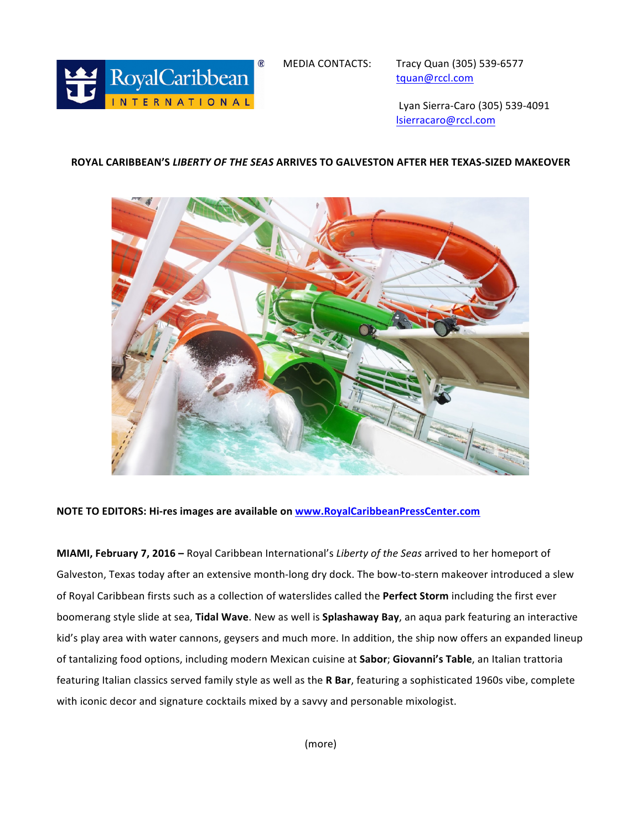

tquan@rccl.com

 Lyan Sierra-Caro (305) 539-4091 lsierracaro@rccl.com

## **ROYAL CARIBBEAN'S** *LIBERTY OF THE SEAS* **ARRIVES TO GALVESTON AFTER HER TEXAS-SIZED MAKEOVER**



## **NOTE TO EDITORS: Hi-res images are available on www.RoyalCaribbeanPressCenter.com**

**MIAMI, February 7, 2016** – Royal Caribbean International's *Liberty of the Seas* arrived to her homeport of Galveston, Texas today after an extensive month-long dry dock. The bow-to-stern makeover introduced a slew of Royal Caribbean firsts such as a collection of waterslides called the Perfect Storm including the first ever boomerang style slide at sea, Tidal Wave. New as well is Splashaway Bay, an aqua park featuring an interactive kid's play area with water cannons, geysers and much more. In addition, the ship now offers an expanded lineup of tantalizing food options, including modern Mexican cuisine at **Sabor**; Giovanni's Table, an Italian trattoria featuring Italian classics served family style as well as the R Bar, featuring a sophisticated 1960s vibe, complete with iconic decor and signature cocktails mixed by a savvy and personable mixologist.